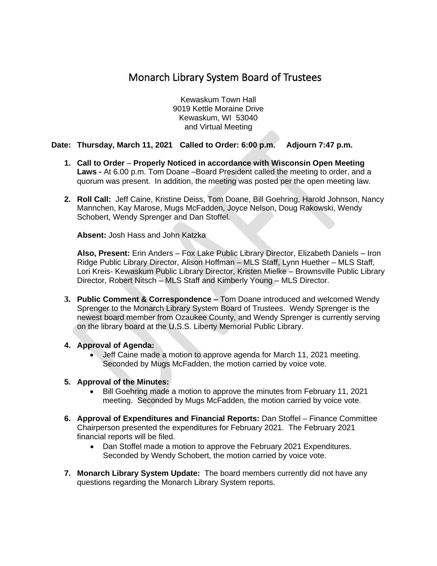# Monarch Library System Board of Trustees

Kewaskum Town Hall 9019 Kettle Moraine Drive Kewaskum, WI 53040 and Virtual Meeting

## **Date: Thursday, March 11, 2021 Called to Order: 6:00 p.m. Adjourn 7:47 p.m.**

- **1. Call to Order Properly Noticed in accordance with Wisconsin Open Meeting Laws -** At 6.00 p.m. Tom Doane –Board President called the meeting to order, and a quorum was present. In addition, the meeting was posted per the open meeting law.
- **2. Roll Call:** Jeff Caine, Kristine Deiss, Tom Doane, Bill Goehring, Harold Johnson, Nancy Mannchen, Kay Marose, Mugs McFadden, Joyce Nelson, Doug Rakowski, Wendy Schobert, Wendy Sprenger and Dan Stoffel.

**Absent:** Josh Hass and John Katzka

**Also, Present:** Erin Anders – Fox Lake Public Library Director, Elizabeth Daniels – Iron Ridge Public Library Director, Alison Hoffman – MLS Staff, Lynn Huether – MLS Staff, Lori Kreis- Kewaskum Public Library Director, Kristen Mielke – Brownsville Public Library Director, Robert Nitsch – MLS Staff and Kimberly Young – MLS Director.

- **3. Public Comment & Correspondence –** Tom Doane introduced and welcomed Wendy Sprenger to the Monarch Library System Board of Trustees. Wendy Sprenger is the newest board member from Ozaukee County, and Wendy Sprenger is currently serving on the library board at the U.S.S. Liberty Memorial Public Library.
- **4. Approval of Agenda:**
	- Jeff Caine made a motion to approve agenda for March 11, 2021 meeting. Seconded by Mugs McFadden, the motion carried by voice vote.

## **5. Approval of the Minutes:**

- Bill Goehring made a motion to approve the minutes from February 11, 2021 meeting. Seconded by Mugs McFadden, the motion carried by voice vote.
- **6. Approval of Expenditures and Financial Reports:** Dan Stoffel Finance Committee Chairperson presented the expenditures for February 2021. The February 2021 financial reports will be filed.
	- Dan Stoffel made a motion to approve the February 2021 Expenditures. Seconded by Wendy Schobert, the motion carried by voice vote.
- **7. Monarch Library System Update:** The board members currently did not have any questions regarding the Monarch Library System reports.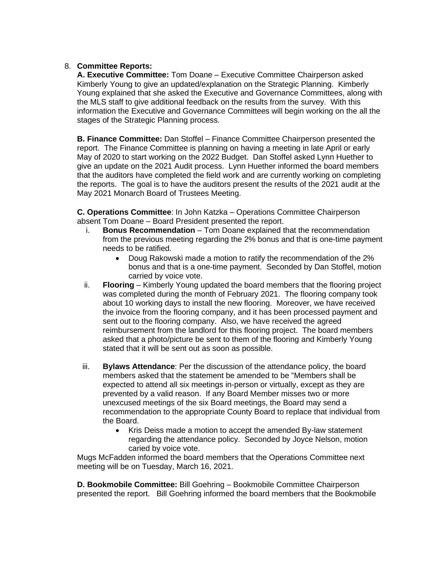## 8. **Committee Reports:**

**A. Executive Committee:** Tom Doane – Executive Committee Chairperson asked Kimberly Young to give an updated/explanation on the Strategic Planning. Kimberly Young explained that she asked the Executive and Governance Committees, along with the MLS staff to give additional feedback on the results from the survey. With this information the Executive and Governance Committees will begin working on the all the stages of the Strategic Planning process.

**B. Finance Committee:** Dan Stoffel – Finance Committee Chairperson presented the report. The Finance Committee is planning on having a meeting in late April or early May of 2020 to start working on the 2022 Budget. Dan Stoffel asked Lynn Huether to give an update on the 2021 Audit process. Lynn Huether informed the board members that the auditors have completed the field work and are currently working on completing the reports. The goal is to have the auditors present the results of the 2021 audit at the May 2021 Monarch Board of Trustees Meeting.

**C. Operations Committee**: In John Katzka – Operations Committee Chairperson absent Tom Doane – Board President presented the report.

- i. **Bonus Recommendation** Tom Doane explained that the recommendation from the previous meeting regarding the 2% bonus and that is one-time payment needs to be ratified.
	- Doug Rakowski made a motion to ratify the recommendation of the 2% bonus and that is a one-time payment. Seconded by Dan Stoffel, motion carried by voice vote.
- ii. **Flooring** Kimberly Young updated the board members that the flooring project was completed during the month of February 2021. The flooring company took about 10 working days to install the new flooring. Moreover, we have received the invoice from the flooring company, and it has been processed payment and sent out to the flooring company. Also, we have received the agreed reimbursement from the landlord for this flooring project. The board members asked that a photo/picture be sent to them of the flooring and Kimberly Young stated that it will be sent out as soon as possible.
- iii. **Bylaws Attendance**: Per the discussion of the attendance policy, the board members asked that the statement be amended to be "Members shall be expected to attend all six meetings in-person or virtually, except as they are prevented by a valid reason. If any Board Member misses two or more unexcused meetings of the six Board meetings, the Board may send a recommendation to the appropriate County Board to replace that individual from the Board.
	- Kris Deiss made a motion to accept the amended By-law statement regarding the attendance policy. Seconded by Joyce Nelson, motion caried by voice vote.

Mugs McFadden informed the board members that the Operations Committee next meeting will be on Tuesday, March 16, 2021.

**D. Bookmobile Committee:** Bill Goehring – Bookmobile Committee Chairperson presented the report. Bill Goehring informed the board members that the Bookmobile